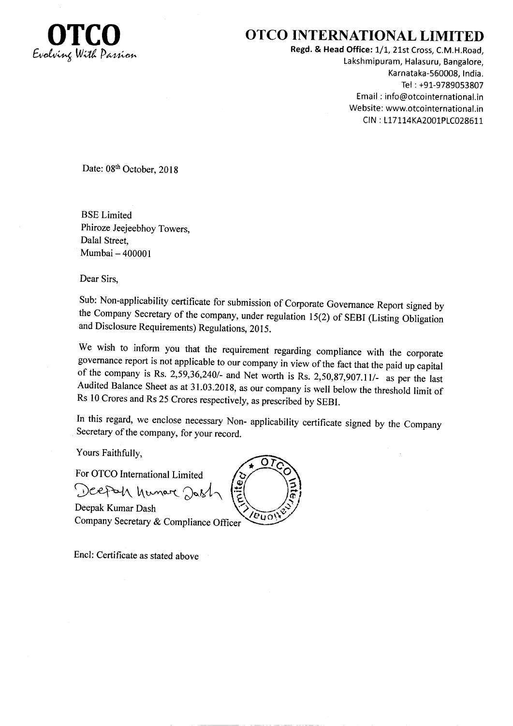

## OTCO INTERNATIONAL LIMITED

Regd. & Head Office: 1/1, 21st Cross, C.M.H.Road, Lakshmipuram, Halasuru, Bangalore, Karnataka-560008, India. Tel : +91-9789053807 Email : info@otcointernational.in Website: www.otcointernational.in CIN: L17114KA2001PLC028611

Date: 08th October, 2018

BSE Limited Phiroze Jeejeebhoy Towers, Dalal Street, Mumbai - 400001

Dear Sirs,

Sub: Non-applicability certificate for submission of Corporate Governance Report signed by the company Secretary of the company, under regulation l5(2) of SEBI (Listing obligation and Disclosure Requirements) Regulations, 2015.

We wish to inform you that the requirement regarding compliance with the corporate governance report is not applicable to our company in view of the fact that the paid up capital of the company is Rs. 2,59,36,240/- and Net worth is Rs. 2,50,87,907.11/- as per the last Audited Balance Sheet as at 31.03.2018, as our company is well below the threshold limit of Rs 10 Crores and Rs 25 Crores respectively, as prescribed by SEBI.

In this regard, we enclose necessary Non- applicability certificate signed by the Company Secretary of the company, for your record.

Yours Faithfully,

For OTCO International Limited

Deepah hunar Dash

Deepak Kumar Dash Company Secretary & Compliance Officer

Encl: Certificate as stated above